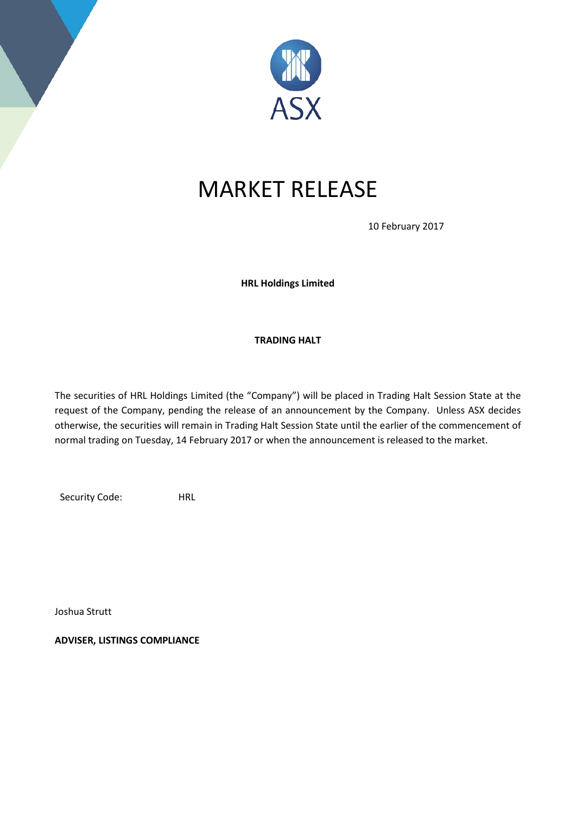

## MARKET RELEASE

10 February 2017

**HRL Holdings Limited**

## **TRADING HALT**

The securities of HRL Holdings Limited (the "Company") will be placed in Trading Halt Session State at the request of the Company, pending the release of an announcement by the Company. Unless ASX decides otherwise, the securities will remain in Trading Halt Session State until the earlier of the commencement of normal trading on Tuesday, 14 February 2017 or when the announcement is released to the market.

Security Code: HRL

Joshua Strutt

**ADVISER, LISTINGS COMPLIANCE**